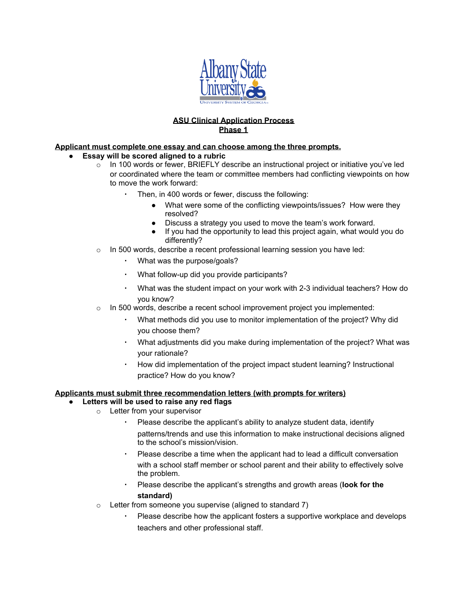

## **ASU Clinical Application Process Phase 1**

## **Applicant must complete one essay and can choose among the three prompts.**

- **● Essay will be scored aligned to a rubric**
	- $\circ$  In 100 words or fewer, BRIEFLY describe an instructional project or initiative you've led or coordinated where the team or committee members had conflicting viewpoints on how to move the work forward:
		- Then, in 400 words or fewer, discuss the following:
			- What were some of the conflicting viewpoints/issues? How were they resolved?
			- Discuss a strategy you used to move the team's work forward.
			- If you had the opportunity to lead this project again, what would you do differently?
	- $\circ$  In 500 words, describe a recent professional learning session you have led:
		- What was the purpose/goals?
		- What follow-up did you provide participants?
		- What was the student impact on your work with 2-3 individual teachers? How do you know?
	- $\circ$  In 500 words, describe a recent school improvement project you implemented:
		- What methods did you use to monitor implementation of the project? Why did you choose them?
		- What adjustments did you make during implementation of the project? What was your rationale?
		- How did implementation of the project impact student learning? Instructional practice? How do you know?

## **Applicants must submit three recommendation letters (with prompts for writers)**

- **● Letters will be used to raise any red flags**
	- o Letter from your supervisor
		- Please describe the applicant's ability to analyze student data, identify patterns/trends and use this information to make instructional decisions aligned to the school's mission/vision.
		- Please describe a time when the applicant had to lead a difficult conversation with a school staff member or school parent and their ability to effectively solve the problem.
		- Please describe the applicant's strengths and growth areas (**look for the standard)**
		- $\circ$  Letter from someone you supervise (aligned to standard 7)
			- Please describe how the applicant fosters a supportive workplace and develops teachers and other professional staff.